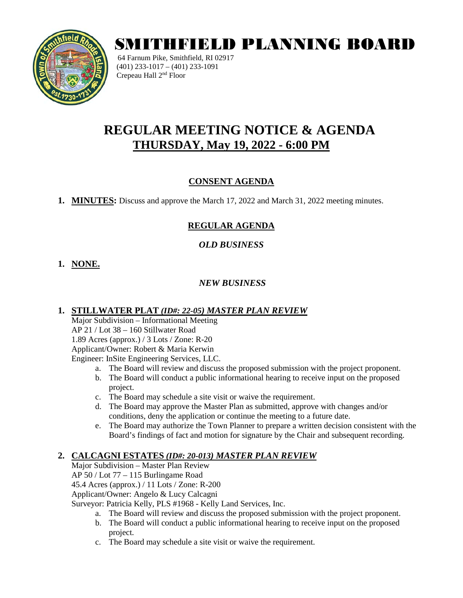

# SMITHFIELD PLANNING BOARD

64 Farnum Pike, Smithfield, RI 02917 (401) 233-1017 – (401) 233-1091 Crepeau Hall 2nd Floor

# **REGULAR MEETING NOTICE & AGENDA THURSDAY, May 19, 2022 - 6:00 PM**

# **CONSENT AGENDA**

**1. MINUTES:** Discuss and approve the March 17, 2022 and March 31, 2022 meeting minutes.

# **REGULAR AGENDA**

#### *OLD BUSINESS*

# **1. NONE.**

#### *NEW BUSINESS*

#### **1. STILLWATER PLAT** *(ID#: 22-05) MASTER PLAN REVIEW*

Major Subdivision – Informational Meeting AP 21 / Lot 38 – 160 Stillwater Road 1.89 Acres (approx.) / 3 Lots / Zone: R-20 Applicant/Owner: Robert & Maria Kerwin Engineer: InSite Engineering Services, LLC.

- a. The Board will review and discuss the proposed submission with the project proponent.
- b. The Board will conduct a public informational hearing to receive input on the proposed project.
- c. The Board may schedule a site visit or waive the requirement.
- d. The Board may approve the Master Plan as submitted, approve with changes and/or conditions, deny the application or continue the meeting to a future date.
- e. The Board may authorize the Town Planner to prepare a written decision consistent with the Board's findings of fact and motion for signature by the Chair and subsequent recording.

#### **2. CALCAGNI ESTATES** *(ID#: 20-013) MASTER PLAN REVIEW*

Major Subdivision – Master Plan Review AP 50 / Lot 77 – 115 Burlingame Road 45.4 Acres (approx.) / 11 Lots / Zone: R-200 Applicant/Owner: Angelo & Lucy Calcagni Surveyor: Patricia Kelly, PLS #1968 - Kelly Land Services, Inc.

- a. The Board will review and discuss the proposed submission with the project proponent.
- b. The Board will conduct a public informational hearing to receive input on the proposed project.
- c. The Board may schedule a site visit or waive the requirement.